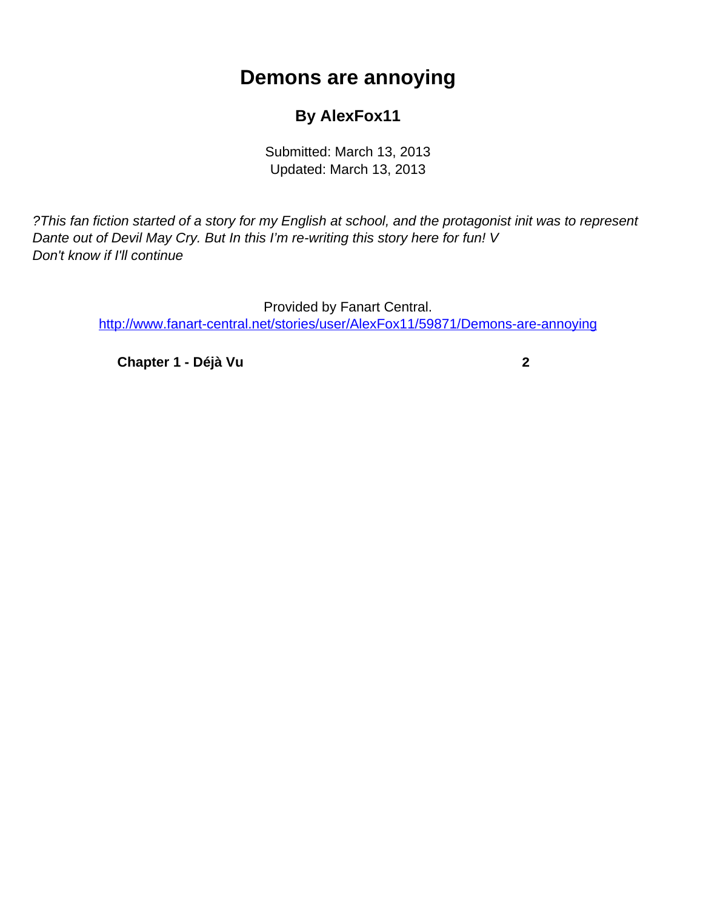## **Demons are annoying**

## **By AlexFox11**

Submitted: March 13, 2013 Updated: March 13, 2013

<span id="page-0-0"></span>?This fan fiction started of a story for my English at school, and the protagonist init was to represent Dante out of Devil May Cry. But In this I'm re-writing this story here for fun! V Don't know if I'll continue

> Provided by Fanart Central. [http://www.fanart-central.net/stories/user/AlexFox11/59871/Demons-are-annoying](#page-0-0)

**[Chapter 1 - Déjà Vu](#page-1-0) [2](#page-1-0)**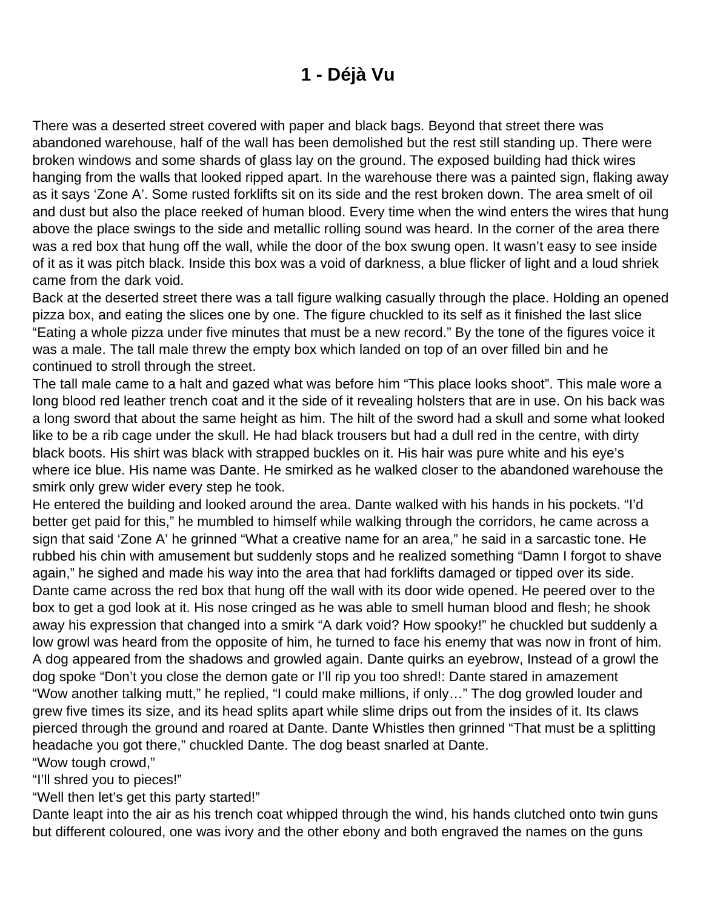## **1 - Déjà Vu**

<span id="page-1-0"></span>There was a deserted street covered with paper and black bags. Beyond that street there was abandoned warehouse, half of the wall has been demolished but the rest still standing up. There were broken windows and some shards of glass lay on the ground. The exposed building had thick wires hanging from the walls that looked ripped apart. In the warehouse there was a painted sign, flaking away as it says 'Zone A'. Some rusted forklifts sit on its side and the rest broken down. The area smelt of oil and dust but also the place reeked of human blood. Every time when the wind enters the wires that hung above the place swings to the side and metallic rolling sound was heard. In the corner of the area there was a red box that hung off the wall, while the door of the box swung open. It wasn't easy to see inside of it as it was pitch black. Inside this box was a void of darkness, a blue flicker of light and a loud shriek came from the dark void.

Back at the deserted street there was a tall figure walking casually through the place. Holding an opened pizza box, and eating the slices one by one. The figure chuckled to its self as it finished the last slice "Eating a whole pizza under five minutes that must be a new record." By the tone of the figures voice it was a male. The tall male threw the empty box which landed on top of an over filled bin and he continued to stroll through the street.

The tall male came to a halt and gazed what was before him "This place looks shoot". This male wore a long blood red leather trench coat and it the side of it revealing holsters that are in use. On his back was a long sword that about the same height as him. The hilt of the sword had a skull and some what looked like to be a rib cage under the skull. He had black trousers but had a dull red in the centre, with dirty black boots. His shirt was black with strapped buckles on it. His hair was pure white and his eye's where ice blue. His name was Dante. He smirked as he walked closer to the abandoned warehouse the smirk only grew wider every step he took.

He entered the building and looked around the area. Dante walked with his hands in his pockets. "I'd better get paid for this," he mumbled to himself while walking through the corridors, he came across a sign that said 'Zone A' he grinned "What a creative name for an area," he said in a sarcastic tone. He rubbed his chin with amusement but suddenly stops and he realized something "Damn I forgot to shave again," he sighed and made his way into the area that had forklifts damaged or tipped over its side. Dante came across the red box that hung off the wall with its door wide opened. He peered over to the box to get a god look at it. His nose cringed as he was able to smell human blood and flesh; he shook away his expression that changed into a smirk "A dark void? How spooky!" he chuckled but suddenly a low growl was heard from the opposite of him, he turned to face his enemy that was now in front of him. A dog appeared from the shadows and growled again. Dante quirks an eyebrow, Instead of a growl the dog spoke "Don't you close the demon gate or I'll rip you too shred!: Dante stared in amazement "Wow another talking mutt," he replied, "I could make millions, if only…" The dog growled louder and grew five times its size, and its head splits apart while slime drips out from the insides of it. Its claws pierced through the ground and roared at Dante. Dante Whistles then grinned "That must be a splitting headache you got there," chuckled Dante. The dog beast snarled at Dante.

"Wow tough crowd,"

"I'll shred you to pieces!"

"Well then let's get this party started!"

Dante leapt into the air as his trench coat whipped through the wind, his hands clutched onto twin guns but different coloured, one was ivory and the other ebony and both engraved the names on the guns